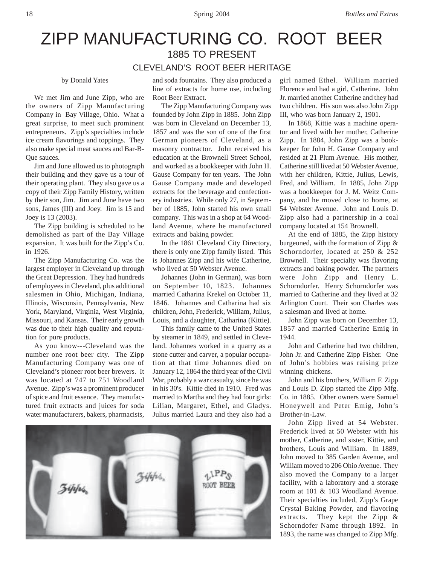## ZIPP MANUFACTURING CO. ROOT BEER 1885 TO PRESENT CLEVELAND'S ROOT BEER HERITAGE

## by Donald Yates

We met Jim and June Zipp, who are the owners of Zipp Manufacturing Company in Bay Village, Ohio. What a great surprise, to meet such prominent entrepreneurs. Zipp's specialties include ice cream flavorings and toppings. They also make special meat sauces and Bar-B-Que sauces.

Jim and June allowed us to photograph their building and they gave us a tour of their operating plant. They also gave us a copy of their Zipp Family History, written by their son, Jim. Jim and June have two sons, James (III) and Joey. Jim is 15 and Joey is 13 (2003).

The Zipp building is scheduled to be demolished as part of the Bay Village expansion. It was built for the Zipp's Co. in 1926.

The Zipp Manufacturing Co. was the largest employer in Cleveland up through the Great Depression. They had hundreds of employees in Cleveland, plus additional salesmen in Ohio, Michigan, Indiana, Illinois, Wisconsin, Pennsylvania, New York, Maryland, Virginia, West Virginia, Missouri, and Kansas. Their early growth was due to their high quality and reputation for pure products.

As you know---Cleveland was the number one root beer city. The Zipp Manufacturing Company was one of Cleveland's pioneer root beer brewers. It was located at 747 to 751 Woodland Avenue. Zipp's was a prominent producer of spice and fruit essence. They manufactured fruit extracts and juices for soda water manufacturers, bakers, pharmacists,

and soda fountains. They also produced a line of extracts for home use, including Root Beer Extract.

The Zipp Manufacturing Company was founded by John Zipp in 1885. John Zipp was born in Cleveland on December 13, 1857 and was the son of one of the first German pioneers of Cleveland, as a masonry contractor. John received his education at the Brownell Street School, and worked as a bookkeeper with John H. Gause Company for ten years. The John Gause Company made and developed extracts for the beverage and confectionery industries. While only 27, in September of 1885, John started his own small company. This was in a shop at 64 Woodland Avenue, where he manufactured extracts and baking powder.

In the 1861 Cleveland City Directory, there is only one Zipp family listed. This is Johannes Zipp and his wife Catherine, who lived at 50 Webster Avenue.

Johannes (John in German), was born on September 10, 1823. Johannes married Catharina Krekel on October 11, 1846. Johannes and Catharina had six children, John, Frederick, William, Julius, Louis, and a daughter, Catharina (Kittie).

This family came to the United States by steamer in 1849, and settled in Cleveland. Johannes worked in a quarry as a stone cutter and carver, a popular occupation at that time Johannes died on January 12, 1864 the third year of the Civil War, probably a war casualty, since he was in his 30's. Kittie died in 1910. Fred was married to Martha and they had four girls: Lilian, Margaret, Ethel, and Gladys. Julius married Laura and they also had a



girl named Ethel. William married Florence and had a girl, Catherine. John Jr. married another Catherine and they had two children. His son was also John Zipp III, who was born January 2, 1901.

In 1868, Kittie was a machine operator and lived with her mother, Catherine Zipp. In 1884, John Zipp was a bookkeeper for John H. Gause Company and resided at 21 Plum Avenue. His mother, Catherine still lived at 50 Webster Avenue, with her children, Kittie, Julius, Lewis, Fred, and William. In 1885, John Zipp was a bookkeeper for J. M. Weitz Company, and he moved close to home, at 54 Webster Avenue. John and Louis D. Zipp also had a partnership in a coal company located at 154 Brownell.

At the end of 1885, the Zipp history burgeoned, with the formation of Zipp & Schorndorfer, located at 250 & 252 Brownell. Their specialty was flavoring extracts and baking powder. The partners were John Zipp and Henry L. Schorndorfer. Henry Schorndorfer was married to Catherine and they lived at 32 Arlington Court. Their son Charles was a salesman and lived at home.

John Zipp was born on December 13, 1857 and married Catherine Emig in 1944.

John and Catherine had two children, John Jr. and Catherine Zipp Fisher. One of John's hobbies was raising prize winning chickens.

John and his brothers, William F. Zipp and Louis D. Zipp started the Zipp Mfg. Co. in 1885. Other owners were Samuel Honeywell and Peter Emig, John's Brother-in-Law.

John Zipp lived at 54 Webster. Frederick lived at 50 Webster with his mother, Catherine, and sister, Kittie, and brothers, Louis and William. In 1889, John moved to 385 Garden Avenue, and William moved to 206 Ohio Avenue. They also moved the Company to a larger facility, with a laboratory and a storage room at 101 & 103 Woodland Avenue. Their specialties included, Zipp's Grape Crystal Baking Powder, and flavoring extracts. They kept the Zipp & Schorndofer Name through 1892. In 1893, the name was changed to Zipp Mfg.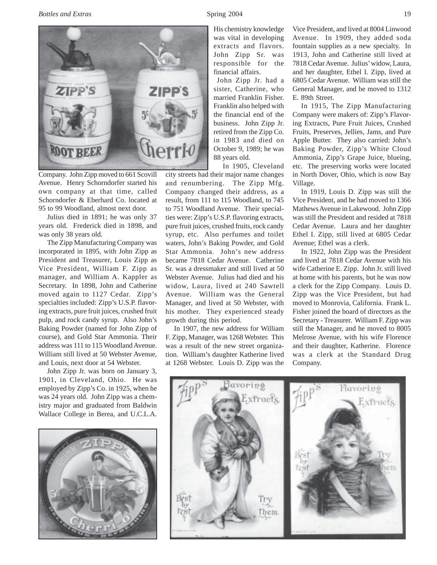

Company. John Zipp moved to 661 Scovill Avenue. Henry Schorndorfer started his own company at that time, called Schorndorfer & Eberhard Co. located at 95 to 99 Woodland, almost next door.

Julius died in 1891; he was only 37 years old. Frederick died in 1898, and was only 38 years old.

The Zipp Manufacturing Company was incorporated in 1895, with John Zipp as President and Treasurer, Louis Zipp as Vice President, William F. Zipp as manager, and William A. Kappler as Secretary. In 1898, John and Catherine moved again to 1127 Cedar. Zipp's specialties included: Zipp's U.S.P. flavoring extracts, pure fruit juices, crushed fruit pulp, and rock candy syrup. Also John's Baking Powder (named for John Zipp of course), and Gold Star Ammonia. Their address was 111 to 115 Woodland Avenue. William still lived at 50 Webster Avenue, and Louis, next door at 54 Webster.

John Zipp Jr. was born on January 3, 1901, in Cleveland, Ohio. He was employed by Zipp's Co. in 1925, when he was 24 years old. John Zipp was a chemistry major and graduated from Baldwin Wallace College in Berea, and U.C.L.A.



His chemistry knowledge was vital in developing extracts and flavors. John Zipp Sr. was responsible for the financial affairs.

John Zipp Jr. had a sister, Catherine, who married Franklin Fisher. Franklin also helped with the financial end of the business. John Zipp Jr. retired from the Zipp Co. in 1983 and died on October 9, 1989; he was 88 years old.

In 1905, Cleveland

city streets had their major name changes and renumbering. The Zipp Mfg. Company changed their address, as a result, from 111 to 115 Woodland, to 745 to 751 Woodland Avenue. Their specialties were: Zipp's U.S.P. flavoring extracts, pure fruit juices, crushed fruits, rock candy syrup, etc. Also perfumes and toilet waters, John's Baking Powder, and Gold Star Ammonia. John's new address became 7818 Cedar Avenue. Catherine Sr. was a dressmaker and still lived at 50 Webster Avenue. Julius had died and his widow, Laura, lived at 240 Sawtell Avenue. William was the General Manager, and lived at 50 Webster, with his mother. They experienced steady growth during this period.

In 1907, the new address for William F. Zipp, Manager, was 1268 Webster. This was a result of the new street organization. William's daughter Katherine lived at 1268 Webster. Louis D. Zipp was the

Vice President, and lived at 8004 Linwood Avenue. In 1909, they added soda fountain supplies as a new specialty. In 1913, John and Catherine still lived at 7818 Cedar Avenue. Julius' widow, Laura, and her daughter, Ethel I. Zipp, lived at 6805 Cedar Avenue. William was still the General Manager, and he moved to 1312 E. 89th Street.

In 1915, The Zipp Manufacturing Company were makers of: Zipp's Flavoring Extracts, Pure Fruit Juices, Crushed Fruits, Preserves, Jellies, Jams, and Pure Apple Butter. They also carried: John's Baking Powder, Zipp's White Cloud Ammonia, Zipp's Grape Juice, blueing, etc. The preserving works were located in North Dover, Ohio, which is now Bay Village.

In 1919, Louis D. Zipp was still the Vice President, and he had moved to 1366 Mathews Avenue in Lakewood. John Zipp was still the President and resided at 7818 Cedar Avenue. Laura and her daughter Ethel I. Zipp, still lived at 6805 Cedar Avenue; Ethel was a clerk.

In 1922, John Zipp was the President and lived at 7818 Cedar Avenue with his wife Catherine E. Zipp. John Jr. still lived at home with his parents, but he was now a clerk for the Zipp Company. Louis D. Zipp was the Vice President, but had moved to Monrovia, California. Frank L. Fisher joined the board of directors as the Secretary - Treasurer. William F. Zipp was still the Manager, and he moved to 8005 Melrose Avenue, with his wife Florence and their daughter, Katherine. Florence was a clerk at the Standard Drug Company.

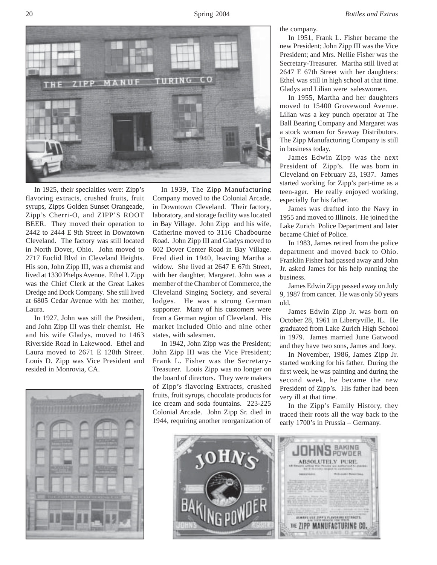20 Spring 2004 *Bottles and Extras*



In 1925, their specialties were: Zipp's flavoring extracts, crushed fruits, fruit syrups, Zipps Golden Sunset Orangeade, Zipp's Cherri-O, and ZIPP'S ROOT BEER. They moved their operation to 2442 to 2444 E 9th Street in Downtown Cleveland. The factory was still located in North Dover, Ohio. John moved to 2717 Euclid Blvd in Cleveland Heights. His son, John Zipp III, was a chemist and lived at 1330 Phelps Avenue. Ethel I. Zipp was the Chief Clerk at the Great Lakes Dredge and Dock Company. She still lived at 6805 Cedar Avenue with her mother, Laura.

In 1927, John was still the President, and John Zipp III was their chemist. He and his wife Gladys, moved to 1463 Riverside Road in Lakewood. Ethel and Laura moved to 2671 E 128th Street. Louis D. Zipp was Vice President and resided in Monrovia, CA.



In 1939, The Zipp Manufacturing Company moved to the Colonial Arcade, in Downtown Cleveland. Their factory, laboratory, and storage facility was located in Bay Village. John Zipp and his wife, Catherine moved to 3116 Chadbourne Road. John Zipp III and Gladys moved to 602 Dover Center Road in Bay Village. Fred died in 1940, leaving Martha a widow. She lived at 2647 E 67th Street, with her daughter, Margaret. John was a member of the Chamber of Commerce, the Cleveland Singing Society, and several lodges. He was a strong German supporter. Many of his customers were from a German region of Cleveland. His market included Ohio and nine other states, with salesmen.

In 1942, John Zipp was the President; John Zipp III was the Vice President; Frank L. Fisher was the Secretary-Treasurer. Louis Zipp was no longer on the board of directors. They were makers of Zipp's flavoring Extracts, crushed fruits, fruit syrups, chocolate products for ice cream and soda fountains. 223-225 Colonial Arcade. John Zipp Sr. died in 1944, requiring another reorganization of the company.

In 1951, Frank L. Fisher became the new President; John Zipp III was the Vice President; and Mrs. Nellie Fisher was the Secretary-Treasurer. Martha still lived at 2647 E 67th Street with her daughters: Ethel was still in high school at that time. Gladys and Lilian were saleswomen.

In 1955, Martha and her daughters moved to 15400 Grovewood Avenue. Lilian was a key punch operator at The Ball Bearing Company and Margaret was a stock woman for Seaway Distributors. The Zipp Manufacturing Company is still in business today.

James Edwin Zipp was the next President of Zipp's. He was born in Cleveland on February 23, 1937. James started working for Zipp's part-time as a teen-ager. He really enjoyed working, especially for his father.

James was drafted into the Navy in 1955 and moved to Illinois. He joined the Lake Zurich Police Department and later became Chief of Police.

In 1983, James retired from the police department and moved back to Ohio. Franklin Fisher had passed away and John Jr. asked James for his help running the business.

James Edwin Zipp passed away on July 9, 1987 from cancer. He was only 50 years old.

James Edwin Zipp Jr. was born on October 28, 1961 in Libertyville, IL. He graduated from Lake Zurich High School in 1979. James married June Gatwood and they have two sons, James and Joey.

In November, 1986, James Zipp Jr. started working for his father. During the first week, he was painting and during the second week, he became the new President of Zipp's. His father had been very ill at that time.

In the Zipp's Family History, they traced their roots all the way back to the early 1700's in Prussia – Germany.